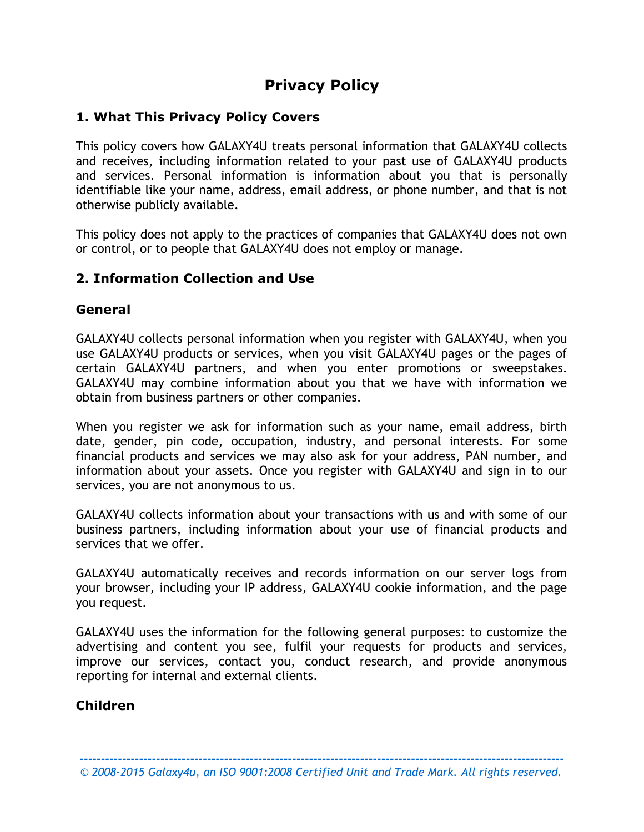# **Privacy Policy**

## **1. What This Privacy Policy Covers**

This policy covers how GALAXY4U treats personal information that GALAXY4U collects and receives, including information related to your past use of GALAXY4U products and services. Personal information is information about you that is personally identifiable like your name, address, email address, or phone number, and that is not otherwise publicly available.

This policy does not apply to the practices of companies that GALAXY4U does not own or control, or to people that GALAXY4U does not employ or manage.

#### **2. Information Collection and Use**

#### **General**

GALAXY4U collects personal information when you register with GALAXY4U, when you use GALAXY4U products or services, when you visit GALAXY4U pages or the pages of certain GALAXY4U partners, and when you enter promotions or sweepstakes. GALAXY4U may combine information about you that we have with information we obtain from business partners or other companies.

When you register we ask for information such as your name, email address, birth date, gender, pin code, occupation, industry, and personal interests. For some financial products and services we may also ask for your address, PAN number, and information about your assets. Once you register with GALAXY4U and sign in to our services, you are not anonymous to us.

GALAXY4U collects information about your transactions with us and with some of our business partners, including information about your use of financial products and services that we offer.

GALAXY4U automatically receives and records information on our server logs from your browser, including your IP address, GALAXY4U cookie information, and the page you request.

GALAXY4U uses the information for the following general purposes: to customize the advertising and content you see, fulfil your requests for products and services, improve our services, contact you, conduct research, and provide anonymous reporting for internal and external clients.

## **Children**

**------------------------------------------------------------------------------------------------------------------** *© 2008-2015 Galaxy4u, an ISO 9001:2008 Certified Unit and Trade Mark. All rights reserved.*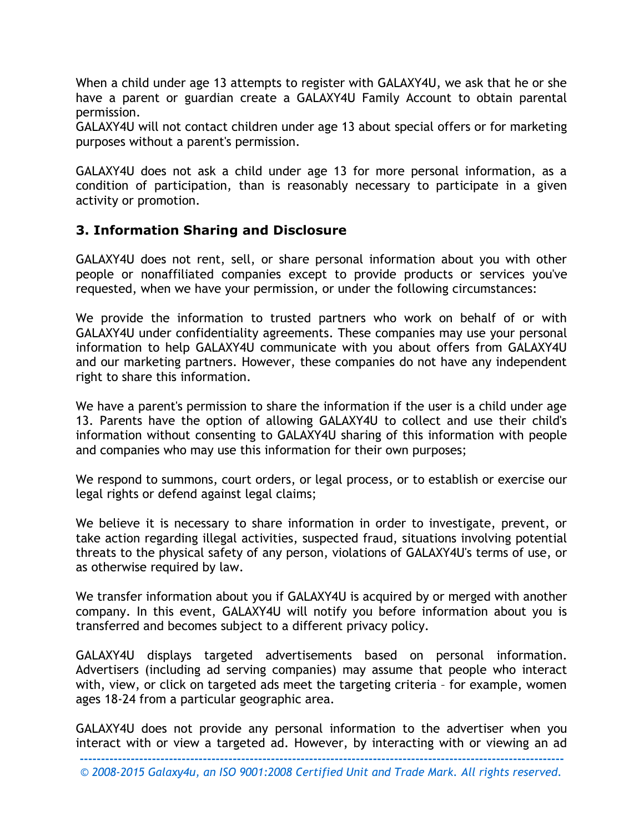When a child under age 13 attempts to register with GALAXY4U, we ask that he or she have a parent or guardian create a GALAXY4U Family Account to obtain parental permission.

GALAXY4U will not contact children under age 13 about special offers or for marketing purposes without a parent's permission.

GALAXY4U does not ask a child under age 13 for more personal information, as a condition of participation, than is reasonably necessary to participate in a given activity or promotion.

#### **3. Information Sharing and Disclosure**

GALAXY4U does not rent, sell, or share personal information about you with other people or nonaffiliated companies except to provide products or services you've requested, when we have your permission, or under the following circumstances:

We provide the information to trusted partners who work on behalf of or with GALAXY4U under confidentiality agreements. These companies may use your personal information to help GALAXY4U communicate with you about offers from GALAXY4U and our marketing partners. However, these companies do not have any independent right to share this information.

We have a parent's permission to share the information if the user is a child under age 13. Parents have the option of allowing GALAXY4U to collect and use their child's information without consenting to GALAXY4U sharing of this information with people and companies who may use this information for their own purposes;

We respond to summons, court orders, or legal process, or to establish or exercise our legal rights or defend against legal claims;

We believe it is necessary to share information in order to investigate, prevent, or take action regarding illegal activities, suspected fraud, situations involving potential threats to the physical safety of any person, violations of GALAXY4U's terms of use, or as otherwise required by law.

We transfer information about you if GALAXY4U is acquired by or merged with another company. In this event, GALAXY4U will notify you before information about you is transferred and becomes subject to a different privacy policy.

GALAXY4U displays targeted advertisements based on personal information. Advertisers (including ad serving companies) may assume that people who interact with, view, or click on targeted ads meet the targeting criteria – for example, women ages 18-24 from a particular geographic area.

GALAXY4U does not provide any personal information to the advertiser when you interact with or view a targeted ad. However, by interacting with or viewing an ad

**------------------------------------------------------------------------------------------------------------------** *© 2008-2015 Galaxy4u, an ISO 9001:2008 Certified Unit and Trade Mark. All rights reserved.*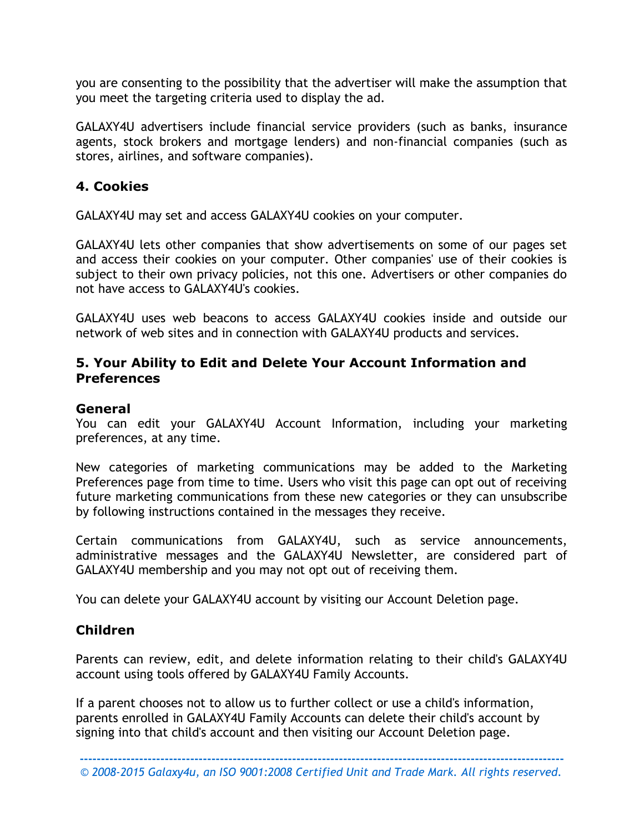you are consenting to the possibility that the advertiser will make the assumption that you meet the targeting criteria used to display the ad.

GALAXY4U advertisers include financial service providers (such as banks, insurance agents, stock brokers and mortgage lenders) and non-financial companies (such as stores, airlines, and software companies).

#### **4. Cookies**

GALAXY4U may set and access GALAXY4U cookies on your computer.

GALAXY4U lets other companies that show advertisements on some of our pages set and access their cookies on your computer. Other companies' use of their cookies is subject to their own privacy policies, not this one. Advertisers or other companies do not have access to GALAXY4U's cookies.

GALAXY4U uses web beacons to access GALAXY4U cookies inside and outside our network of web sites and in connection with GALAXY4U products and services.

## **5. Your Ability to Edit and Delete Your Account Information and Preferences**

#### **General**

You can edit your GALAXY4U Account Information, including your marketing preferences, at any time.

New categories of marketing communications may be added to the Marketing Preferences page from time to time. Users who visit this page can opt out of receiving future marketing communications from these new categories or they can unsubscribe by following instructions contained in the messages they receive.

Certain communications from GALAXY4U, such as service announcements, administrative messages and the GALAXY4U Newsletter, are considered part of GALAXY4U membership and you may not opt out of receiving them.

You can delete your GALAXY4U account by visiting our Account Deletion page.

## **Children**

Parents can review, edit, and delete information relating to their child's GALAXY4U account using tools offered by GALAXY4U Family Accounts.

If a parent chooses not to allow us to further collect or use a child's information, parents enrolled in GALAXY4U Family Accounts can delete their child's account by signing into that child's account and then visiting our Account Deletion page.

**------------------------------------------------------------------------------------------------------------------**

*© 2008-2015 Galaxy4u, an ISO 9001:2008 Certified Unit and Trade Mark. All rights reserved.*